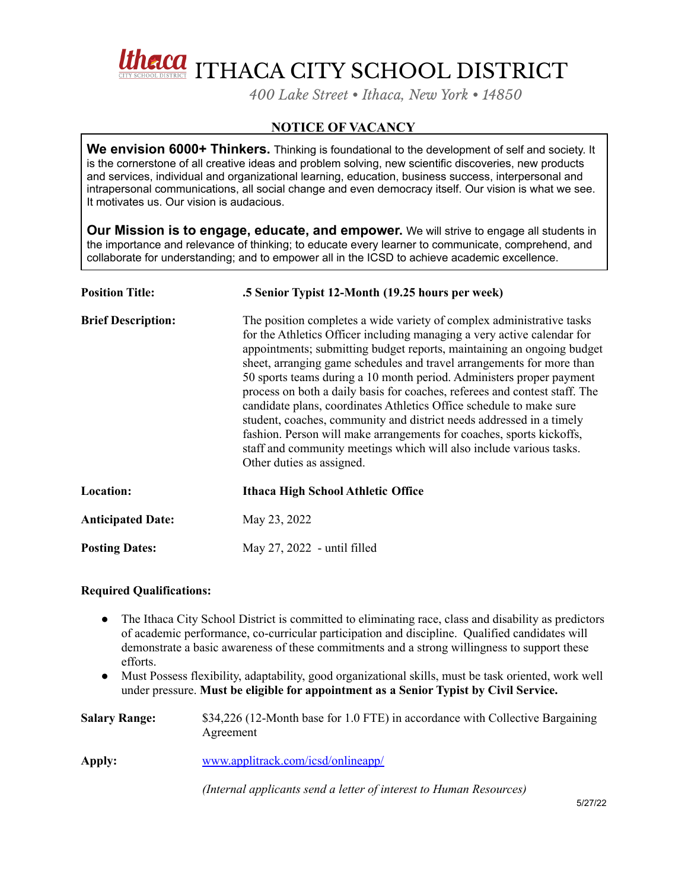

*400 Lake Street • Ithaca, New York • 14850*

## **NOTICE OF VACANCY**

**We envision 6000+ Thinkers.** Thinking is foundational to the development of self and society. It is the cornerstone of all creative ideas and problem solving, new scientific discoveries, new products and services, individual and organizational learning, education, business success, interpersonal and intrapersonal communications, all social change and even democracy itself. Our vision is what we see. It motivates us. Our vision is audacious.

**Our Mission is to engage, educate, and empower.** We will strive to engage all students in the importance and relevance of thinking; to educate every learner to communicate, comprehend, and collaborate for understanding; and to empower all in the ICSD to achieve academic excellence.

| <b>Position Title:</b>    | .5 Senior Typist 12-Month (19.25 hours per week)                                                                                                                                                                                                                                                                                                                                                                                                                                                                                                                                                                                                                                                                                                                                     |
|---------------------------|--------------------------------------------------------------------------------------------------------------------------------------------------------------------------------------------------------------------------------------------------------------------------------------------------------------------------------------------------------------------------------------------------------------------------------------------------------------------------------------------------------------------------------------------------------------------------------------------------------------------------------------------------------------------------------------------------------------------------------------------------------------------------------------|
| <b>Brief Description:</b> | The position completes a wide variety of complex administrative tasks<br>for the Athletics Officer including managing a very active calendar for<br>appointments; submitting budget reports, maintaining an ongoing budget<br>sheet, arranging game schedules and travel arrangements for more than<br>50 sports teams during a 10 month period. Administers proper payment<br>process on both a daily basis for coaches, referees and contest staff. The<br>candidate plans, coordinates Athletics Office schedule to make sure<br>student, coaches, community and district needs addressed in a timely<br>fashion. Person will make arrangements for coaches, sports kickoffs,<br>staff and community meetings which will also include various tasks.<br>Other duties as assigned. |
| Location:                 | Ithaca High School Athletic Office                                                                                                                                                                                                                                                                                                                                                                                                                                                                                                                                                                                                                                                                                                                                                   |
| <b>Anticipated Date:</b>  | May 23, 2022                                                                                                                                                                                                                                                                                                                                                                                                                                                                                                                                                                                                                                                                                                                                                                         |
| <b>Posting Dates:</b>     | May 27, 2022 - until filled                                                                                                                                                                                                                                                                                                                                                                                                                                                                                                                                                                                                                                                                                                                                                          |

## **Required Qualifications:**

- The Ithaca City School District is committed to eliminating race, class and disability as predictors of academic performance, co-curricular participation and discipline. Qualified candidates will demonstrate a basic awareness of these commitments and a strong willingness to support these efforts.
- Must Possess flexibility, adaptability, good organizational skills, must be task oriented, work well under pressure. **Must be eligible for appointment as a Senior Typist by Civil Service.**

| <b>Salary Range:</b> | \$34,226 (12-Month base for 1.0 FTE) in accordance with Collective Bargaining<br>Agreement |
|----------------------|--------------------------------------------------------------------------------------------|
| Apply:               | www.applitrack.com/icsd/onlineapp/                                                         |
|                      | (Internal applicants send a letter of interest to Human Resources)                         |